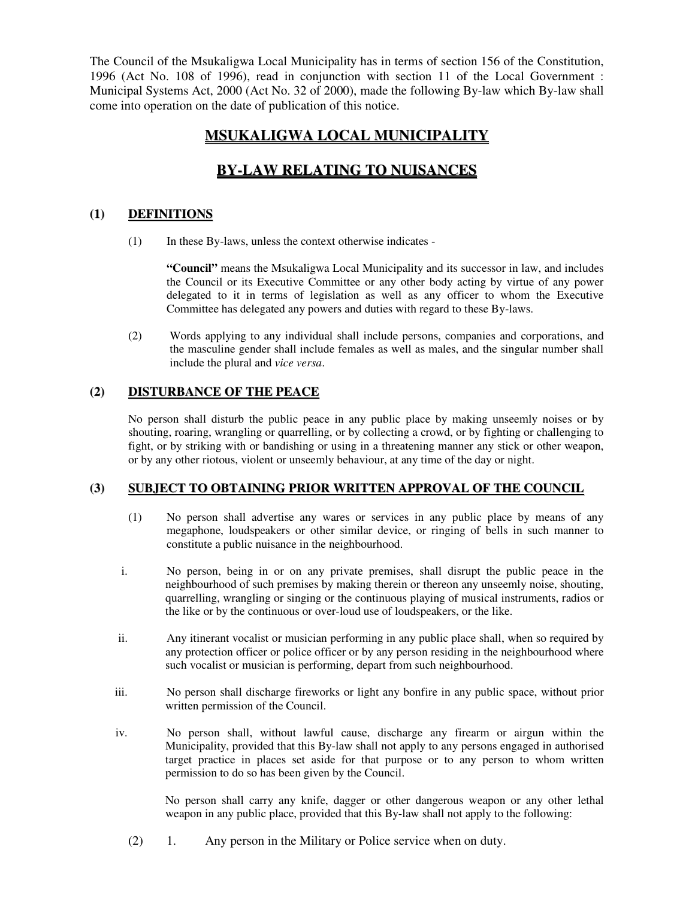The Council of the Msukaligwa Local Municipality has in terms of section 156 of the Constitution, 1996 (Act No. 108 of 1996), read in conjunction with section 11 of the Local Government : Municipal Systems Act, 2000 (Act No. 32 of 2000), made the following By-law which By-law shall come into operation on the date of publication of this notice.

# **MSUKALIGWA LOCAL MUNICIPALITY**

# **BY-LAW RELATING TO NUISANCES**

### **(1) DEFINITIONS**

(1) In these By-laws, unless the context otherwise indicates -

**"Council"** means the Msukaligwa Local Municipality and its successor in law, and includes the Council or its Executive Committee or any other body acting by virtue of any power delegated to it in terms of legislation as well as any officer to whom the Executive Committee has delegated any powers and duties with regard to these By-laws.

(2) Words applying to any individual shall include persons, companies and corporations, and the masculine gender shall include females as well as males, and the singular number shall include the plural and *vice versa*.

# **(2) DISTURBANCE OF THE PEACE**

No person shall disturb the public peace in any public place by making unseemly noises or by shouting, roaring, wrangling or quarrelling, or by collecting a crowd, or by fighting or challenging to fight, or by striking with or bandishing or using in a threatening manner any stick or other weapon, or by any other riotous, violent or unseemly behaviour, at any time of the day or night.

# **(3) SUBJECT TO OBTAINING PRIOR WRITTEN APPROVAL OF THE COUNCIL**

- (1) No person shall advertise any wares or services in any public place by means of any megaphone, loudspeakers or other similar device, or ringing of bells in such manner to constitute a public nuisance in the neighbourhood.
- i. No person, being in or on any private premises, shall disrupt the public peace in the neighbourhood of such premises by making therein or thereon any unseemly noise, shouting, quarrelling, wrangling or singing or the continuous playing of musical instruments, radios or the like or by the continuous or over-loud use of loudspeakers, or the like.
- ii. Any itinerant vocalist or musician performing in any public place shall, when so required by any protection officer or police officer or by any person residing in the neighbourhood where such vocalist or musician is performing, depart from such neighbourhood.
- iii. No person shall discharge fireworks or light any bonfire in any public space, without prior written permission of the Council.
- iv. No person shall, without lawful cause, discharge any firearm or airgun within the Municipality, provided that this By-law shall not apply to any persons engaged in authorised target practice in places set aside for that purpose or to any person to whom written permission to do so has been given by the Council.

No person shall carry any knife, dagger or other dangerous weapon or any other lethal weapon in any public place, provided that this By-law shall not apply to the following:

(2) 1. Any person in the Military or Police service when on duty.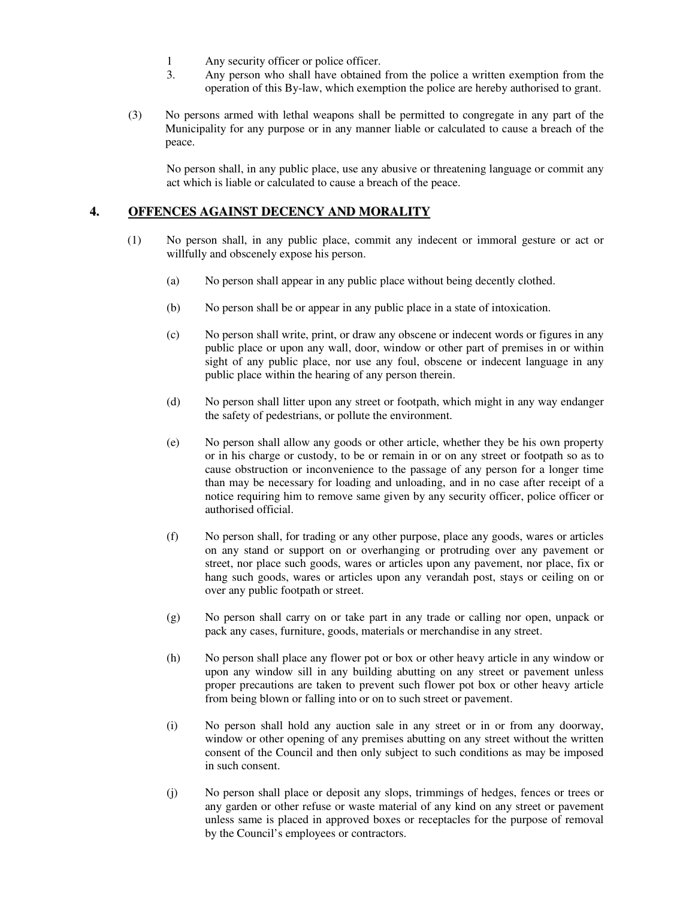- 1 Any security officer or police officer.
- 3. Any person who shall have obtained from the police a written exemption from the operation of this By-law, which exemption the police are hereby authorised to grant.
- (3) No persons armed with lethal weapons shall be permitted to congregate in any part of the Municipality for any purpose or in any manner liable or calculated to cause a breach of the peace.

No person shall, in any public place, use any abusive or threatening language or commit any act which is liable or calculated to cause a breach of the peace.

### **4. OFFENCES AGAINST DECENCY AND MORALITY**

- (1) No person shall, in any public place, commit any indecent or immoral gesture or act or willfully and obscenely expose his person.
	- (a) No person shall appear in any public place without being decently clothed.
	- (b) No person shall be or appear in any public place in a state of intoxication.
	- (c) No person shall write, print, or draw any obscene or indecent words or figures in any public place or upon any wall, door, window or other part of premises in or within sight of any public place, nor use any foul, obscene or indecent language in any public place within the hearing of any person therein.
	- (d) No person shall litter upon any street or footpath, which might in any way endanger the safety of pedestrians, or pollute the environment.
	- (e) No person shall allow any goods or other article, whether they be his own property or in his charge or custody, to be or remain in or on any street or footpath so as to cause obstruction or inconvenience to the passage of any person for a longer time than may be necessary for loading and unloading, and in no case after receipt of a notice requiring him to remove same given by any security officer, police officer or authorised official.
	- (f) No person shall, for trading or any other purpose, place any goods, wares or articles on any stand or support on or overhanging or protruding over any pavement or street, nor place such goods, wares or articles upon any pavement, nor place, fix or hang such goods, wares or articles upon any verandah post, stays or ceiling on or over any public footpath or street.
	- (g) No person shall carry on or take part in any trade or calling nor open, unpack or pack any cases, furniture, goods, materials or merchandise in any street.
	- (h) No person shall place any flower pot or box or other heavy article in any window or upon any window sill in any building abutting on any street or pavement unless proper precautions are taken to prevent such flower pot box or other heavy article from being blown or falling into or on to such street or pavement.
	- (i) No person shall hold any auction sale in any street or in or from any doorway, window or other opening of any premises abutting on any street without the written consent of the Council and then only subject to such conditions as may be imposed in such consent.
	- (j) No person shall place or deposit any slops, trimmings of hedges, fences or trees or any garden or other refuse or waste material of any kind on any street or pavement unless same is placed in approved boxes or receptacles for the purpose of removal by the Council's employees or contractors.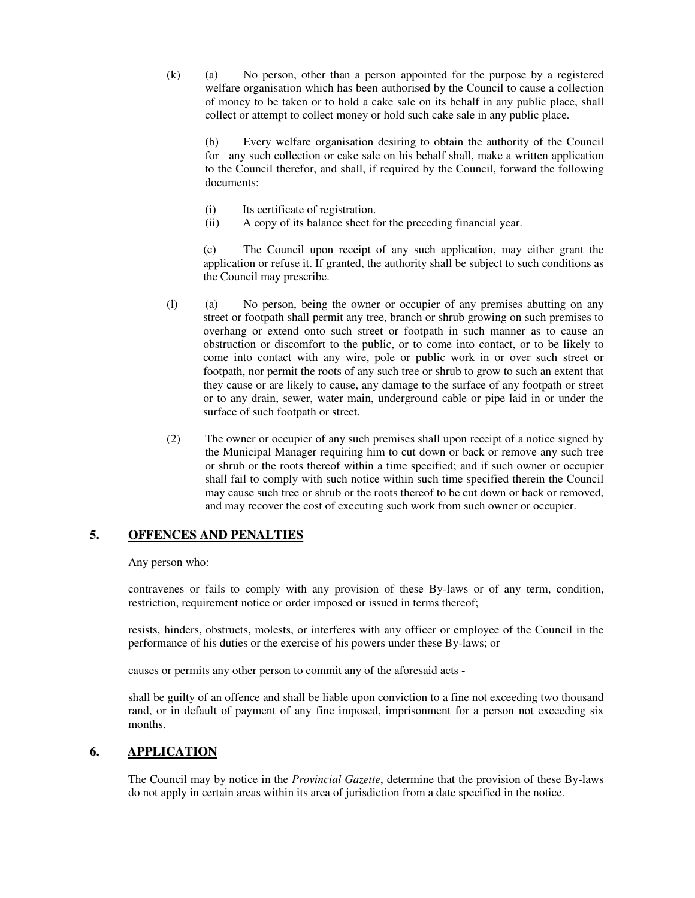(k) (a) No person, other than a person appointed for the purpose by a registered welfare organisation which has been authorised by the Council to cause a collection of money to be taken or to hold a cake sale on its behalf in any public place, shall collect or attempt to collect money or hold such cake sale in any public place.

(b) Every welfare organisation desiring to obtain the authority of the Council for any such collection or cake sale on his behalf shall, make a written application to the Council therefor, and shall, if required by the Council, forward the following documents:

- (i) Its certificate of registration.
- (ii) A copy of its balance sheet for the preceding financial year.

(c) The Council upon receipt of any such application, may either grant the application or refuse it. If granted, the authority shall be subject to such conditions as the Council may prescribe.

- (l) (a) No person, being the owner or occupier of any premises abutting on any street or footpath shall permit any tree, branch or shrub growing on such premises to overhang or extend onto such street or footpath in such manner as to cause an obstruction or discomfort to the public, or to come into contact, or to be likely to come into contact with any wire, pole or public work in or over such street or footpath, nor permit the roots of any such tree or shrub to grow to such an extent that they cause or are likely to cause, any damage to the surface of any footpath or street or to any drain, sewer, water main, underground cable or pipe laid in or under the surface of such footpath or street.
- (2) The owner or occupier of any such premises shall upon receipt of a notice signed by the Municipal Manager requiring him to cut down or back or remove any such tree or shrub or the roots thereof within a time specified; and if such owner or occupier shall fail to comply with such notice within such time specified therein the Council may cause such tree or shrub or the roots thereof to be cut down or back or removed, and may recover the cost of executing such work from such owner or occupier.

#### **5. OFFENCES AND PENALTIES**

Any person who:

contravenes or fails to comply with any provision of these By-laws or of any term, condition, restriction, requirement notice or order imposed or issued in terms thereof;

resists, hinders, obstructs, molests, or interferes with any officer or employee of the Council in the performance of his duties or the exercise of his powers under these By-laws; or

causes or permits any other person to commit any of the aforesaid acts -

shall be guilty of an offence and shall be liable upon conviction to a fine not exceeding two thousand rand, or in default of payment of any fine imposed, imprisonment for a person not exceeding six months.

#### **6. APPLICATION**

The Council may by notice in the *Provincial Gazette*, determine that the provision of these By-laws do not apply in certain areas within its area of jurisdiction from a date specified in the notice.